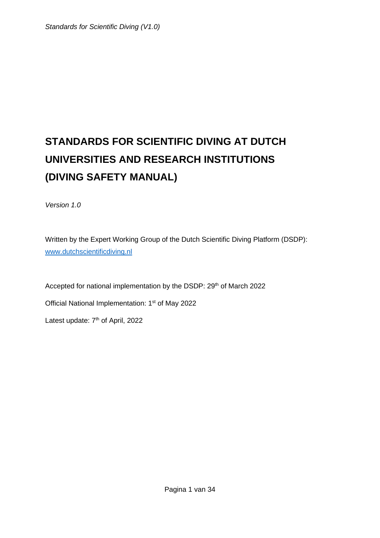# **STANDARDS FOR SCIENTIFIC DIVING AT DUTCH UNIVERSITIES AND RESEARCH INSTITUTIONS (DIVING SAFETY MANUAL)**

*Version 1.0*

Written by the Expert Working Group of the Dutch Scientific Diving Platform (DSDP): [www.dutchscientificdiving.nl](http://www.dutchscientificdiving.nl/)

Accepted for national implementation by the DSDP: 29<sup>th</sup> of March 2022

Official National Implementation: 1<sup>st</sup> of May 2022

Latest update: 7<sup>th</sup> of April, 2022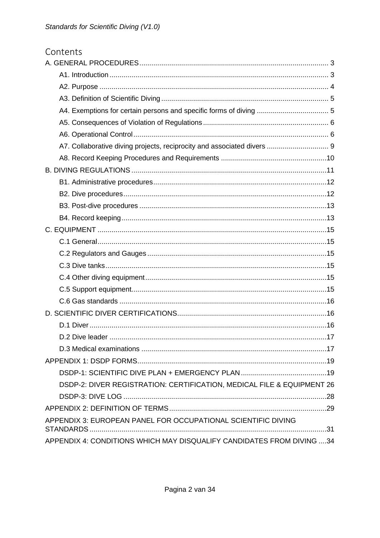# Contents

| DSDP-2: DIVER REGISTRATION: CERTIFICATION, MEDICAL FILE & EQUIPMENT 26 |
|------------------------------------------------------------------------|
|                                                                        |
|                                                                        |
| APPENDIX 3: EUROPEAN PANEL FOR OCCUPATIONAL SCIENTIFIC DIVING          |
| APPENDIX 4: CONDITIONS WHICH MAY DISQUALIFY CANDIDATES FROM DIVING 34  |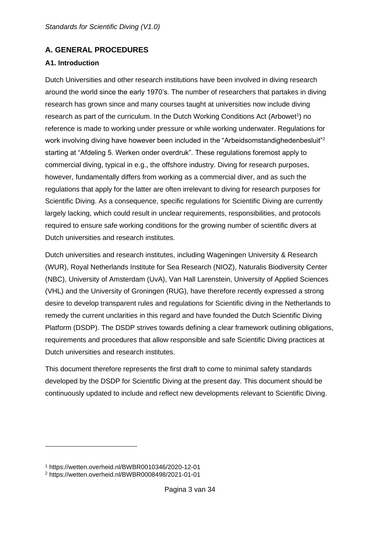# <span id="page-2-0"></span>**A. GENERAL PROCEDURES**

# <span id="page-2-1"></span>**A1. Introduction**

Dutch Universities and other research institutions have been involved in diving research around the world since the early 1970's. The number of researchers that partakes in diving research has grown since and many courses taught at universities now include diving research as part of the curriculum. In the Dutch Working Conditions Act (Arbowet<sup>1</sup>) no reference is made to working under pressure or while working underwater. Regulations for work involving diving have however been included in the "Arbeidsomstandighedenbesluit"<sup>2</sup> starting at "Afdeling 5. Werken onder overdruk". These regulations foremost apply to commercial diving, typical in e.g., the offshore industry. Diving for research purposes, however, fundamentally differs from working as a commercial diver, and as such the regulations that apply for the latter are often irrelevant to diving for research purposes for Scientific Diving. As a consequence, specific regulations for Scientific Diving are currently largely lacking, which could result in unclear requirements, responsibilities, and protocols required to ensure safe working conditions for the growing number of scientific divers at Dutch universities and research institutes.

Dutch universities and research institutes, including Wageningen University & Research (WUR), Royal Netherlands Institute for Sea Research (NIOZ), Naturalis Biodiversity Center (NBC), University of Amsterdam (UvA), Van Hall Larenstein, University of Applied Sciences (VHL) and the University of Groningen (RUG), have therefore recently expressed a strong desire to develop transparent rules and regulations for Scientific diving in the Netherlands to remedy the current unclarities in this regard and have founded the Dutch Scientific Diving Platform (DSDP). The DSDP strives towards defining a clear framework outlining obligations, requirements and procedures that allow responsible and safe Scientific Diving practices at Dutch universities and research institutes.

This document therefore represents the first draft to come to minimal safety standards developed by the DSDP for Scientific Diving at the present day. This document should be continuously updated to include and reflect new developments relevant to Scientific Diving.

<sup>1</sup> https://wetten.overheid.nl/BWBR0010346/2020-12-01

<sup>2</sup> https://wetten.overheid.nl/BWBR0008498/2021-01-01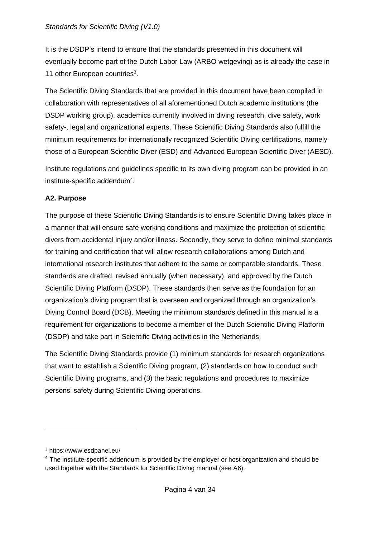It is the DSDP's intend to ensure that the standards presented in this document will eventually become part of the Dutch Labor Law (ARBO wetgeving) as is already the case in 11 other European countries<sup>3</sup>.

The Scientific Diving Standards that are provided in this document have been compiled in collaboration with representatives of all aforementioned Dutch academic institutions (the DSDP working group), academics currently involved in diving research, dive safety, work safety-, legal and organizational experts. These Scientific Diving Standards also fulfill the minimum requirements for internationally recognized Scientific Diving certifications, namely those of a European Scientific Diver (ESD) and Advanced European Scientific Diver (AESD).

Institute regulations and guidelines specific to its own diving program can be provided in an institute-specific addendum<sup>4</sup>.

#### <span id="page-3-0"></span>**A2. Purpose**

The purpose of these Scientific Diving Standards is to ensure Scientific Diving takes place in a manner that will ensure safe working conditions and maximize the protection of scientific divers from accidental injury and/or illness. Secondly, they serve to define minimal standards for training and certification that will allow research collaborations among Dutch and international research institutes that adhere to the same or comparable standards. These standards are drafted, revised annually (when necessary), and approved by the Dutch Scientific Diving Platform (DSDP). These standards then serve as the foundation for an organization's diving program that is overseen and organized through an organization's Diving Control Board (DCB). Meeting the minimum standards defined in this manual is a requirement for organizations to become a member of the Dutch Scientific Diving Platform (DSDP) and take part in Scientific Diving activities in the Netherlands.

The Scientific Diving Standards provide (1) minimum standards for research organizations that want to establish a Scientific Diving program, (2) standards on how to conduct such Scientific Diving programs, and (3) the basic regulations and procedures to maximize persons' safety during Scientific Diving operations.

<sup>3</sup> https://www.esdpanel.eu/

<sup>4</sup> The institute-specific addendum is provided by the employer or host organization and should be used together with the Standards for Scientific Diving manual (see A6).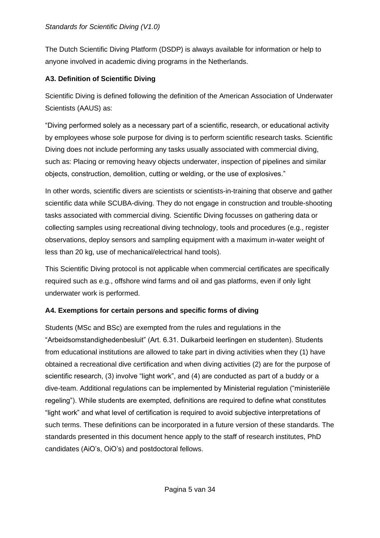The Dutch Scientific Diving Platform (DSDP) is always available for information or help to anyone involved in academic diving programs in the Netherlands.

# <span id="page-4-0"></span>**A3. Definition of Scientific Diving**

Scientific Diving is defined following the definition of the American Association of Underwater Scientists (AAUS) as:

"Diving performed solely as a necessary part of a scientific, research, or educational activity by employees whose sole purpose for diving is to perform scientific research tasks. Scientific Diving does not include performing any tasks usually associated with commercial diving, such as: Placing or removing heavy objects underwater, inspection of pipelines and similar objects, construction, demolition, cutting or welding, or the use of explosives."

In other words, scientific divers are scientists or scientists-in-training that observe and gather scientific data while SCUBA-diving. They do not engage in construction and trouble-shooting tasks associated with commercial diving. Scientific Diving focusses on gathering data or collecting samples using recreational diving technology, tools and procedures (e.g., register observations, deploy sensors and sampling equipment with a maximum in-water weight of less than 20 kg, use of mechanical/electrical hand tools).

This Scientific Diving protocol is not applicable when commercial certificates are specifically required such as e.g., offshore wind farms and oil and gas platforms, even if only light underwater work is performed.

# <span id="page-4-1"></span>**A4. Exemptions for certain persons and specific forms of diving**

Students (MSc and BSc) are exempted from the rules and regulations in the "Arbeidsomstandighedenbesluit" (Art. 6.31. Duikarbeid leerlingen en studenten). Students from educational institutions are allowed to take part in diving activities when they (1) have obtained a recreational dive certification and when diving activities (2) are for the purpose of scientific research, (3) involve "light work", and (4) are conducted as part of a buddy or a dive-team. Additional regulations can be implemented by Ministerial regulation ("ministeriële regeling"). While students are exempted, definitions are required to define what constitutes "light work" and what level of certification is required to avoid subjective interpretations of such terms. These definitions can be incorporated in a future version of these standards. The standards presented in this document hence apply to the staff of research institutes, PhD candidates (AiO's, OiO's) and postdoctoral fellows.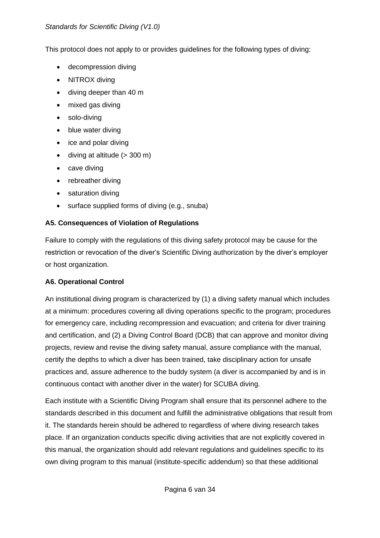#### *Standards for Scientific Diving (V1.0)*

This protocol does not apply to or provides guidelines for the following types of diving:

- decompression diving
- NITROX diving
- diving deeper than 40 m
- mixed gas diving
- solo-diving
- blue water diving
- ice and polar diving
- $\bullet$  diving at altitude ( $>$  300 m)
- cave diving
- rebreather diving
- saturation diving
- surface supplied forms of diving (e.g., snuba)

# <span id="page-5-0"></span>**A5. Consequences of Violation of Regulations**

Failure to comply with the regulations of this diving safety protocol may be cause for the restriction or revocation of the diver's Scientific Diving authorization by the diver's employer or host organization.

#### <span id="page-5-1"></span>**A6. Operational Control**

An institutional diving program is characterized by (1) a diving safety manual which includes at a minimum: procedures covering all diving operations specific to the program; procedures for emergency care, including recompression and evacuation; and criteria for diver training and certification, and (2) a Diving Control Board (DCB) that can approve and monitor diving projects, review and revise the diving safety manual, assure compliance with the manual, certify the depths to which a diver has been trained, take disciplinary action for unsafe practices and, assure adherence to the buddy system (a diver is accompanied by and is in continuous contact with another diver in the water) for SCUBA diving.

Each institute with a Scientific Diving Program shall ensure that its personnel adhere to the standards described in this document and fulfill the administrative obligations that result from it. The standards herein should be adhered to regardless of where diving research takes place. If an organization conducts specific diving activities that are not explicitly covered in this manual, the organization should add relevant regulations and guidelines specific to its own diving program to this manual (institute-specific addendum) so that these additional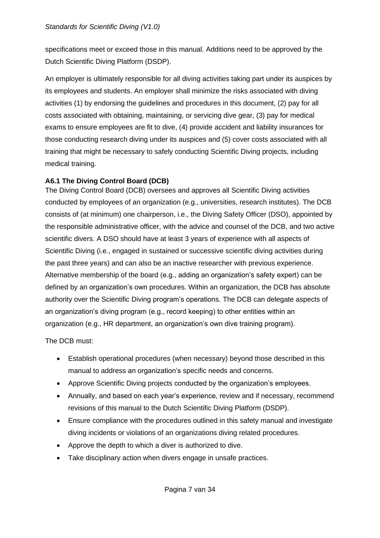specifications meet or exceed those in this manual. Additions need to be approved by the Dutch Scientific Diving Platform (DSDP).

An employer is ultimately responsible for all diving activities taking part under its auspices by its employees and students. An employer shall minimize the risks associated with diving activities (1) by endorsing the guidelines and procedures in this document, (2) pay for all costs associated with obtaining, maintaining, or servicing dive gear, (3) pay for medical exams to ensure employees are fit to dive, (4) provide accident and liability insurances for those conducting research diving under its auspices and (5) cover costs associated with all training that might be necessary to safely conducting Scientific Diving projects, including medical training.

#### **A6.1 The Diving Control Board (DCB)**

The Diving Control Board (DCB) oversees and approves all Scientific Diving activities conducted by employees of an organization (e.g., universities, research institutes). The DCB consists of (at minimum) one chairperson, i.e., the Diving Safety Officer (DSO), appointed by the responsible administrative officer, with the advice and counsel of the DCB, and two active scientific divers. A DSO should have at least 3 years of experience with all aspects of Scientific Diving (i.e., engaged in sustained or successive scientific diving activities during the past three years) and can also be an inactive researcher with previous experience. Alternative membership of the board (e.g., adding an organization's safety expert) can be defined by an organization's own procedures. Within an organization, the DCB has absolute authority over the Scientific Diving program's operations. The DCB can delegate aspects of an organization's diving program (e.g., record keeping) to other entities within an organization (e.g., HR department, an organization's own dive training program).

The DCB must:

- Establish operational procedures (when necessary) beyond those described in this manual to address an organization's specific needs and concerns.
- Approve Scientific Diving projects conducted by the organization's employees.
- Annually, and based on each year's experience, review and if necessary, recommend revisions of this manual to the Dutch Scientific Diving Platform (DSDP).
- Ensure compliance with the procedures outlined in this safety manual and investigate diving incidents or violations of an organizations diving related procedures.
- Approve the depth to which a diver is authorized to dive.
- Take disciplinary action when divers engage in unsafe practices.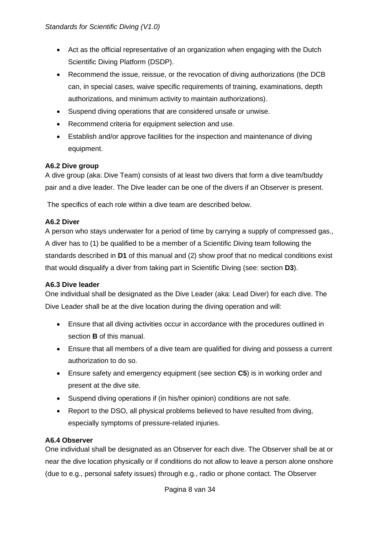- Act as the official representative of an organization when engaging with the Dutch Scientific Diving Platform (DSDP).
- Recommend the issue, reissue, or the revocation of diving authorizations (the DCB can, in special cases, waive specific requirements of training, examinations, depth authorizations, and minimum activity to maintain authorizations).
- Suspend diving operations that are considered unsafe or unwise.
- Recommend criteria for equipment selection and use.
- Establish and/or approve facilities for the inspection and maintenance of diving equipment.

#### **A6.2 Dive group**

A dive group (aka: Dive Team) consists of at least two divers that form a dive team/buddy pair and a dive leader. The Dive leader can be one of the divers if an Observer is present.

The specifics of each role within a dive team are described below.

# **A6.2 Diver**

A person who stays underwater for a period of time by carrying a supply of compressed gas., A diver has to (1) be qualified to be a member of a Scientific Diving team following the standards described in **D1** of this manual and (2) show proof that no medical conditions exist that would disqualify a diver from taking part in Scientific Diving (see: section **D3**).

#### **A6.3 Dive leader**

One individual shall be designated as the Dive Leader (aka: Lead Diver) for each dive. The Dive Leader shall be at the dive location during the diving operation and will:

- Ensure that all diving activities occur in accordance with the procedures outlined in section **B** of this manual.
- Ensure that all members of a dive team are qualified for diving and possess a current authorization to do so.
- Ensure safety and emergency equipment (see section **C5**) is in working order and present at the dive site.
- Suspend diving operations if (in his/her opinion) conditions are not safe.
- Report to the DSO, all physical problems believed to have resulted from diving, especially symptoms of pressure-related injuries.

#### **A6.4 Observer**

One individual shall be designated as an Observer for each dive. The Observer shall be at or near the dive location physically or if conditions do not allow to leave a person alone onshore (due to e.g., personal safety issues) through e.g., radio or phone contact. The Observer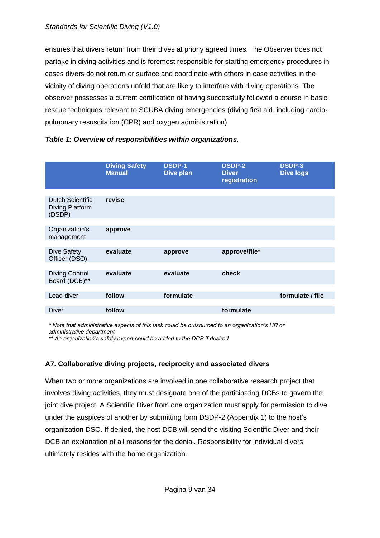ensures that divers return from their dives at priorly agreed times. The Observer does not partake in diving activities and is foremost responsible for starting emergency procedures in cases divers do not return or surface and coordinate with others in case activities in the vicinity of diving operations unfold that are likely to interfere with diving operations. The observer possesses a current certification of having successfully followed a course in basic rescue techniques relevant to SCUBA diving emergencies (diving first aid, including cardiopulmonary resuscitation (CPR) and oxygen administration).

|                         | <b>Diving Safety</b> | <b>DSDP-1</b> | <b>DSDP-2</b> | <b>DSDP-3</b>    |
|-------------------------|----------------------|---------------|---------------|------------------|
|                         | <b>Manual</b>        | Dive plan     | <b>Diver</b>  | <b>Dive logs</b> |
|                         |                      |               | registration  |                  |
|                         |                      |               |               |                  |
|                         |                      |               |               |                  |
| <b>Dutch Scientific</b> | revise               |               |               |                  |
| Diving Platform         |                      |               |               |                  |
| (DSDP)                  |                      |               |               |                  |
|                         |                      |               |               |                  |
|                         |                      |               |               |                  |
| Organization's          | approve              |               |               |                  |
| management              |                      |               |               |                  |
|                         |                      |               |               |                  |
| Dive Safety             | evaluate             | approve       | approve/file* |                  |
| Officer (DSO)           |                      |               |               |                  |
|                         |                      |               |               |                  |
| <b>Diving Control</b>   | evaluate             | evaluate      | check         |                  |
| Board (DCB)**           |                      |               |               |                  |
|                         |                      |               |               |                  |
|                         |                      |               |               |                  |
| Lead diver              | follow               | formulate     |               | formulate / file |
|                         |                      |               |               |                  |
| <b>Diver</b>            | follow               |               | formulate     |                  |
|                         |                      |               |               |                  |

#### *Table 1: Overview of responsibilities within organizations.*

*\* Note that administrative aspects of this task could be outsourced to an organization's HR or administrative department*

*\*\* An organization's safety expert could be added to the DCB if desired*

#### <span id="page-8-0"></span>**A7. Collaborative diving projects, reciprocity and associated divers**

When two or more organizations are involved in one collaborative research project that involves diving activities, they must designate one of the participating DCBs to govern the joint dive project. A Scientific Diver from one organization must apply for permission to dive under the auspices of another by submitting form DSDP-2 (Appendix 1) to the host's organization DSO. If denied, the host DCB will send the visiting Scientific Diver and their DCB an explanation of all reasons for the denial. Responsibility for individual divers ultimately resides with the home organization.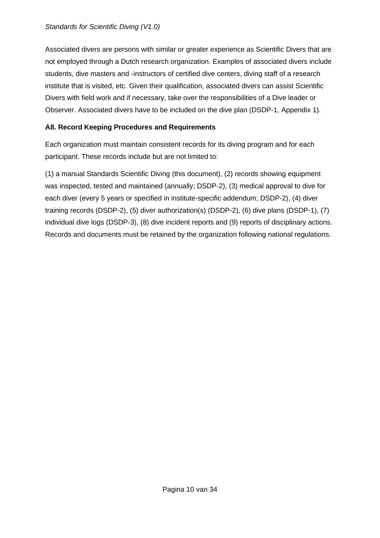Associated divers are persons with similar or greater experience as Scientific Divers that are not employed through a Dutch research organization. Examples of associated divers include students, dive masters and -instructors of certified dive centers, diving staff of a research institute that is visited, etc. Given their qualification, associated divers can assist Scientific Divers with field work and if necessary, take over the responsibilities of a Dive leader or Observer. Associated divers have to be included on the dive plan (DSDP-1, Appendix 1).

#### <span id="page-9-0"></span>**A8. Record Keeping Procedures and Requirements**

Each organization must maintain consistent records for its diving program and for each participant. These records include but are not limited to:

(1) a manual Standards Scientific Diving (this document), (2) records showing equipment was inspected, tested and maintained (annually; DSDP-2), (3) medical approval to dive for each diver (every 5 years or specified in institute-specific addendum; DSDP-2), (4) diver training records (DSDP-2), (5) diver authorization(s) (DSDP-2), (6) dive plans (DSDP-1), (7) individual dive logs (DSDP-3), (8) dive incident reports and (9) reports of disciplinary actions. Records and documents must be retained by the organization following national regulations.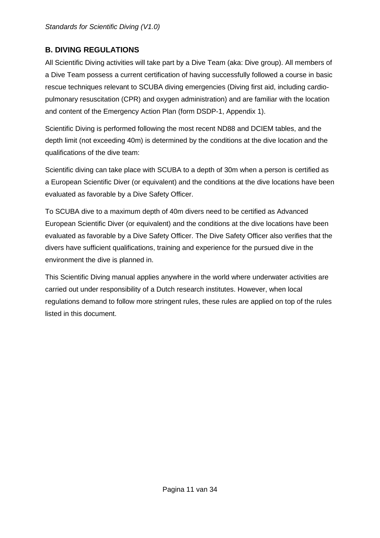# <span id="page-10-0"></span>**B. DIVING REGULATIONS**

All Scientific Diving activities will take part by a Dive Team (aka: Dive group). All members of a Dive Team possess a current certification of having successfully followed a course in basic rescue techniques relevant to SCUBA diving emergencies (Diving first aid, including cardiopulmonary resuscitation (CPR) and oxygen administration) and are familiar with the location and content of the Emergency Action Plan (form DSDP-1, Appendix 1).

Scientific Diving is performed following the most recent ND88 and DCIEM tables, and the depth limit (not exceeding 40m) is determined by the conditions at the dive location and the qualifications of the dive team:

Scientific diving can take place with SCUBA to a depth of 30m when a person is certified as a European Scientific Diver (or equivalent) and the conditions at the dive locations have been evaluated as favorable by a Dive Safety Officer.

To SCUBA dive to a maximum depth of 40m divers need to be certified as Advanced European Scientific Diver (or equivalent) and the conditions at the dive locations have been evaluated as favorable by a Dive Safety Officer. The Dive Safety Officer also verifies that the divers have sufficient qualifications, training and experience for the pursued dive in the environment the dive is planned in.

This Scientific Diving manual applies anywhere in the world where underwater activities are carried out under responsibility of a Dutch research institutes. However, when local regulations demand to follow more stringent rules, these rules are applied on top of the rules listed in this document.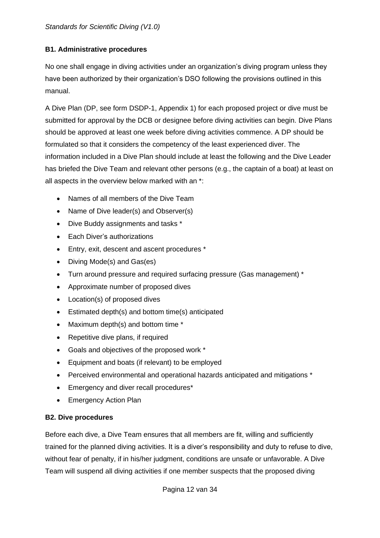# <span id="page-11-0"></span>**B1. Administrative procedures**

No one shall engage in diving activities under an organization's diving program unless they have been authorized by their organization's DSO following the provisions outlined in this manual.

A Dive Plan (DP, see form DSDP-1, Appendix 1) for each proposed project or dive must be submitted for approval by the DCB or designee before diving activities can begin. Dive Plans should be approved at least one week before diving activities commence. A DP should be formulated so that it considers the competency of the least experienced diver. The information included in a Dive Plan should include at least the following and the Dive Leader has briefed the Dive Team and relevant other persons (e.g., the captain of a boat) at least on all aspects in the overview below marked with an \*:

- Names of all members of the Dive Team
- Name of Dive leader(s) and Observer(s)
- Dive Buddy assignments and tasks \*
- Each Diver's authorizations
- Entry, exit, descent and ascent procedures \*
- Diving Mode(s) and Gas(es)
- Turn around pressure and required surfacing pressure (Gas management) \*
- Approximate number of proposed dives
- Location(s) of proposed dives
- Estimated depth(s) and bottom time(s) anticipated
- Maximum depth(s) and bottom time \*
- Repetitive dive plans, if required
- Goals and objectives of the proposed work \*
- Equipment and boats (if relevant) to be employed
- Perceived environmental and operational hazards anticipated and mitigations \*
- Emergency and diver recall procedures\*
- Emergency Action Plan

# <span id="page-11-1"></span>**B2. Dive procedures**

Before each dive, a Dive Team ensures that all members are fit, willing and sufficiently trained for the planned diving activities. It is a diver's responsibility and duty to refuse to dive, without fear of penalty, if in his/her judgment, conditions are unsafe or unfavorable. A Dive Team will suspend all diving activities if one member suspects that the proposed diving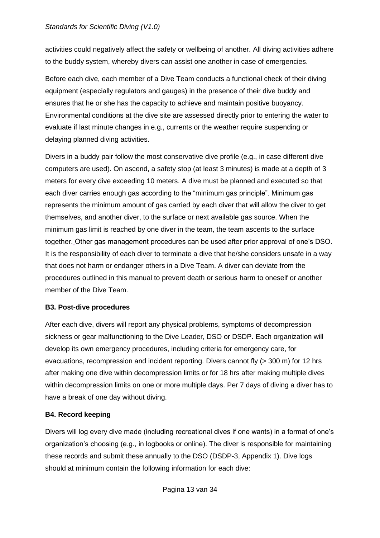activities could negatively affect the safety or wellbeing of another. All diving activities adhere to the buddy system, whereby divers can assist one another in case of emergencies.

Before each dive, each member of a Dive Team conducts a functional check of their diving equipment (especially regulators and gauges) in the presence of their dive buddy and ensures that he or she has the capacity to achieve and maintain positive buoyancy. Environmental conditions at the dive site are assessed directly prior to entering the water to evaluate if last minute changes in e.g., currents or the weather require suspending or delaying planned diving activities.

Divers in a buddy pair follow the most conservative dive profile (e.g., in case different dive computers are used). On ascend, a safety stop (at least 3 minutes) is made at a depth of 3 meters for every dive exceeding 10 meters. A dive must be planned and executed so that each diver carries enough gas according to the "minimum gas principle". Minimum gas represents the minimum amount of gas carried by each diver that will allow the diver to get themselves, and another diver, to the surface or next available gas source. When the minimum gas limit is reached by one diver in the team, the team ascents to the surface together. Other gas management procedures can be used after prior approval of one's DSO. It is the responsibility of each diver to terminate a dive that he/she considers unsafe in a way that does not harm or endanger others in a Dive Team. A diver can deviate from the procedures outlined in this manual to prevent death or serious harm to oneself or another member of the Dive Team.

#### <span id="page-12-0"></span>**B3. Post-dive procedures**

After each dive, divers will report any physical problems, symptoms of decompression sickness or gear malfunctioning to the Dive Leader, DSO or DSDP. Each organization will develop its own emergency procedures, including criteria for emergency care, for evacuations, recompression and incident reporting. Divers cannot fly (> 300 m) for 12 hrs after making one dive within decompression limits or for 18 hrs after making multiple dives within decompression limits on one or more multiple days. Per 7 days of diving a diver has to have a break of one day without diving.

# <span id="page-12-1"></span>**B4. Record keeping**

Divers will log every dive made (including recreational dives if one wants) in a format of one's organization's choosing (e.g., in logbooks or online). The diver is responsible for maintaining these records and submit these annually to the DSO (DSDP-3, Appendix 1). Dive logs should at minimum contain the following information for each dive: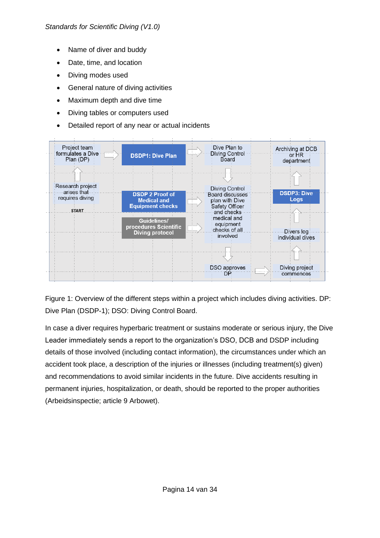- Name of diver and buddy
- Date, time, and location
- Diving modes used
- General nature of diving activities
- Maximum depth and dive time
- Diving tables or computers used
- Detailed report of any near or actual incidents



Figure 1: Overview of the different steps within a project which includes diving activities. DP: Dive Plan (DSDP-1); DSO: Diving Control Board.

In case a diver requires hyperbaric treatment or sustains moderate or serious injury, the Dive Leader immediately sends a report to the organization's DSO, DCB and DSDP including details of those involved (including contact information), the circumstances under which an accident took place, a description of the injuries or illnesses (including treatment(s) given) and recommendations to avoid similar incidents in the future. Dive accidents resulting in permanent injuries, hospitalization, or death, should be reported to the proper authorities (Arbeidsinspectie; article 9 Arbowet).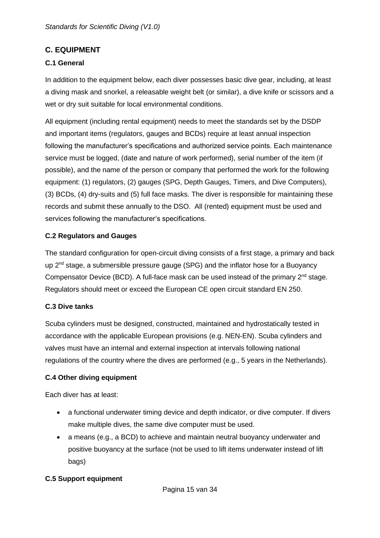# <span id="page-14-0"></span>**C. EQUIPMENT**

#### <span id="page-14-1"></span>**C.1 General**

In addition to the equipment below, each diver possesses basic dive gear, including, at least a diving mask and snorkel, a releasable weight belt (or similar), a dive knife or scissors and a wet or dry suit suitable for local environmental conditions.

All equipment (including rental equipment) needs to meet the standards set by the DSDP and important items (regulators, gauges and BCDs) require at least annual inspection following the manufacturer's specifications and authorized service points. Each maintenance service must be logged, (date and nature of work performed), serial number of the item (if possible), and the name of the person or company that performed the work for the following equipment: (1) regulators, (2) gauges (SPG, Depth Gauges, Timers, and Dive Computers), (3) BCDs, (4) dry-suits and (5) full face masks. The diver is responsible for maintaining these records and submit these annually to the DSO. All (rented) equipment must be used and services following the manufacturer's specifications.

#### <span id="page-14-2"></span>**C.2 Regulators and Gauges**

The standard configuration for open-circuit diving consists of a first stage, a primary and back up 2<sup>nd</sup> stage, a submersible pressure gauge (SPG) and the inflator hose for a Buoyancy Compensator Device (BCD). A full-face mask can be used instead of the primary  $2^{nd}$  stage. Regulators should meet or exceed the European CE open circuit standard EN 250.

#### <span id="page-14-3"></span>**C.3 Dive tanks**

Scuba cylinders must be designed, constructed, maintained and hydrostatically tested in accordance with the applicable European provisions (e.g. NEN-EN). Scuba cylinders and valves must have an internal and external inspection at intervals following national regulations of the country where the dives are performed (e.g., 5 years in the Netherlands).

#### <span id="page-14-4"></span>**C.4 Other diving equipment**

Each diver has at least:

- a functional underwater timing device and depth indicator, or dive computer. If divers make multiple dives, the same dive computer must be used.
- a means (e.g., a BCD) to achieve and maintain neutral buoyancy underwater and positive buoyancy at the surface (not be used to lift items underwater instead of lift bags)

#### <span id="page-14-5"></span>**C.5 Support equipment**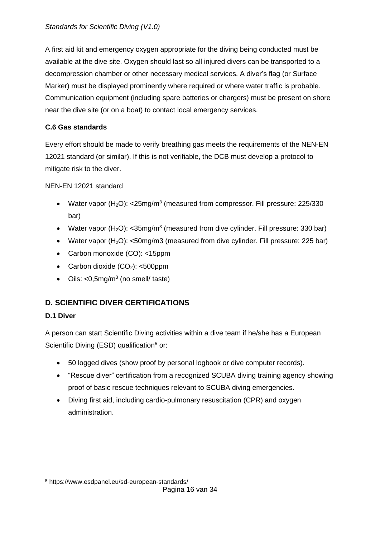A first aid kit and emergency oxygen appropriate for the diving being conducted must be available at the dive site. Oxygen should last so all injured divers can be transported to a decompression chamber or other necessary medical services. A diver's flag (or Surface Marker) must be displayed prominently where required or where water traffic is probable. Communication equipment (including spare batteries or chargers) must be present on shore near the dive site (or on a boat) to contact local emergency services.

# <span id="page-15-0"></span>**C.6 Gas standards**

Every effort should be made to verify breathing gas meets the requirements of the NEN-EN 12021 standard (or similar). If this is not verifiable, the DCB must develop a protocol to mitigate risk to the diver.

NEN-EN 12021 standard

- Water vapor  $(H_2O)$ : <25mg/m<sup>3</sup> (measured from compressor. Fill pressure: 225/330 bar)
- Water vapor  $(H_2O)$ : <35mg/m<sup>3</sup> (measured from dive cylinder. Fill pressure: 330 bar)
- Water vapor  $(H_2O)$ : <50mg/m3 (measured from dive cylinder. Fill pressure: 225 bar)
- Carbon monoxide (CO): <15ppm
- Carbon dioxide  $(CO<sub>2</sub>)$ : <500ppm
- Oils:  $<$ 0,5mg/m<sup>3</sup> (no smell/ taste)

# <span id="page-15-1"></span>**D. SCIENTIFIC DIVER CERTIFICATIONS**

# <span id="page-15-2"></span>**D.1 Diver**

A person can start Scientific Diving activities within a dive team if he/she has a European Scientific Diving (ESD) qualification<sup>5</sup> or:

- 50 logged dives (show proof by personal logbook or dive computer records).
- "Rescue diver" certification from a recognized SCUBA diving training agency showing proof of basic rescue techniques relevant to SCUBA diving emergencies.
- Diving first aid, including cardio-pulmonary resuscitation (CPR) and oxygen administration.

<sup>5</sup> https://www.esdpanel.eu/sd-european-standards/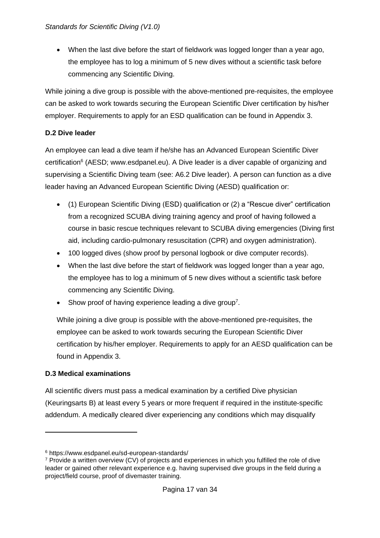• When the last dive before the start of fieldwork was logged longer than a year ago, the employee has to log a minimum of 5 new dives without a scientific task before commencing any Scientific Diving.

While joining a dive group is possible with the above-mentioned pre-requisites, the employee can be asked to work towards securing the European Scientific Diver certification by his/her employer. Requirements to apply for an ESD qualification can be found in Appendix 3.

## <span id="page-16-0"></span>**D.2 Dive leader**

An employee can lead a dive team if he/she has an Advanced European Scientific Diver certification<sup>6</sup> (AESD; www.esdpanel.eu). A Dive leader is a diver capable of organizing and supervising a Scientific Diving team (see: A6.2 Dive leader). A person can function as a dive leader having an Advanced European Scientific Diving (AESD) qualification or:

- (1) European Scientific Diving (ESD) qualification or (2) a "Rescue diver" certification from a recognized SCUBA diving training agency and proof of having followed a course in basic rescue techniques relevant to SCUBA diving emergencies (Diving first aid, including cardio-pulmonary resuscitation (CPR) and oxygen administration).
- 100 logged dives (show proof by personal logbook or dive computer records).
- When the last dive before the start of fieldwork was logged longer than a year ago, the employee has to log a minimum of 5 new dives without a scientific task before commencing any Scientific Diving.
- Show proof of having experience leading a dive group<sup>7</sup>.

While joining a dive group is possible with the above-mentioned pre-requisites, the employee can be asked to work towards securing the European Scientific Diver certification by his/her employer. Requirements to apply for an AESD qualification can be found in Appendix 3.

#### <span id="page-16-1"></span>**D.3 Medical examinations**

All scientific divers must pass a medical examination by a certified Dive physician (Keuringsarts B) at least every 5 years or more frequent if required in the institute-specific addendum. A medically cleared diver experiencing any conditions which may disqualify

<sup>6</sup> https://www.esdpanel.eu/sd-european-standards/

<sup>7</sup> Provide a written overview (CV) of projects and experiences in which you fulfilled the role of dive leader or gained other relevant experience e.g. having supervised dive groups in the field during a project/field course, proof of divemaster training.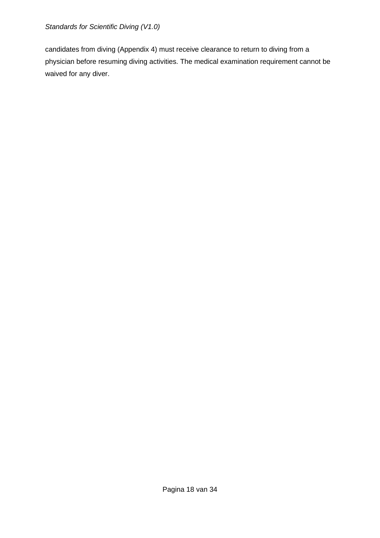candidates from diving (Appendix 4) must receive clearance to return to diving from a physician before resuming diving activities. The medical examination requirement cannot be waived for any diver.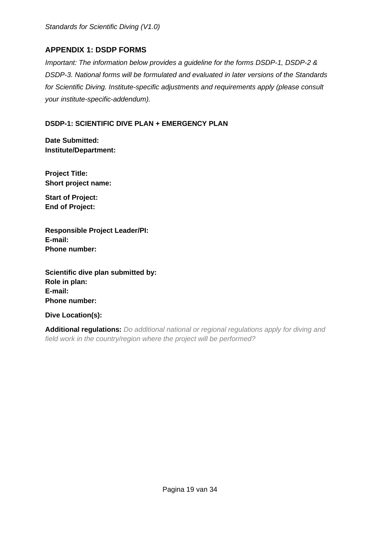*Standards for Scientific Diving (V1.0)*

# <span id="page-18-0"></span>**APPENDIX 1: DSDP FORMS**

*Important: The information below provides a guideline for the forms DSDP-1, DSDP-2 & DSDP-3. National forms will be formulated and evaluated in later versions of the Standards for Scientific Diving. Institute-specific adjustments and requirements apply (please consult your institute-specific-addendum).* 

# <span id="page-18-1"></span>**DSDP-1: SCIENTIFIC DIVE PLAN + EMERGENCY PLAN**

**Date Submitted: Institute/Department:**

**Project Title: Short project name:**

**Start of Project: End of Project:**

**Responsible Project Leader/PI: E-mail: Phone number:**

**Scientific dive plan submitted by: Role in plan: E-mail: Phone number:**

**Dive Location(s):** 

**Additional regulations:** *Do additional national or regional regulations apply for diving and field work in the country/region where the project will be performed?*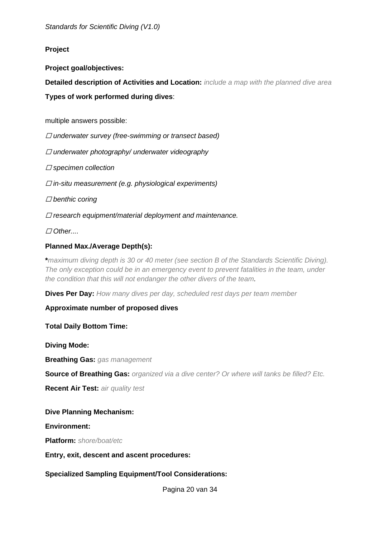#### **Project**

**Project goal/objectives:**

**Detailed description of Activities and Location:** *include a map with the planned dive area*

**Types of work performed during dives**:

multiple answers possible:

☐ *underwater survey (free-swimming or transect based)*

☐ *underwater photography/ underwater videography* 

☐ *specimen collection* 

☐ *in-situ measurement (e.g. physiological experiments)*

☐ *benthic coring* 

☐ *research equipment/material deployment and maintenance.*

☐ *Other....*

#### **Planned Max./Average Depth(s):**

**\****maximum diving depth is 30 or 40 meter (see section B of the Standards Scientific Diving). The only exception could be in an emergency event to prevent fatalities in the team, under the condition that this will not endanger the other divers of the team.*

**Dives Per Day:** *How many dives per day, scheduled rest days per team member*

**Approximate number of proposed dives**

**Total Daily Bottom Time:** 

**Diving Mode:**

**Breathing Gas:** *gas management*

**Source of Breathing Gas:** *organized via a dive center? Or where will tanks be filled? Etc.* 

**Recent Air Test:** *air quality test*

#### **Dive Planning Mechanism:**

**Environment:**

**Platform:** *shore/boat/etc*

**Entry, exit, descent and ascent procedures:** 

**Specialized Sampling Equipment/Tool Considerations:**

Pagina 20 van 34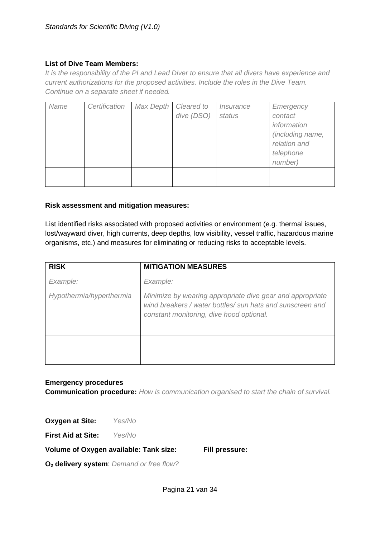#### **List of Dive Team Members:**

*It is the responsibility of the PI and Lead Diver to ensure that all divers have experience and current authorizations for the proposed activities. Include the roles in the Dive Team. Continue on a separate sheet if needed.*

| Name | Certification | Max Depth | Cleared to<br>dive (DSO) | <i>Insurance</i><br>status | Emergency<br>contact<br>information<br>(including name,<br>relation and<br>telephone<br>number) |
|------|---------------|-----------|--------------------------|----------------------------|-------------------------------------------------------------------------------------------------|
|      |               |           |                          |                            |                                                                                                 |
|      |               |           |                          |                            |                                                                                                 |

#### **Risk assessment and mitigation measures:**

List identified risks associated with proposed activities or environment (e.g. thermal issues, lost/wayward diver, high currents, deep depths, low visibility, vessel traffic, hazardous marine organisms, etc.) and measures for eliminating or reducing risks to acceptable levels.

| <b>RISK</b>              | <b>MITIGATION MEASURES</b>                                                                                                                                         |
|--------------------------|--------------------------------------------------------------------------------------------------------------------------------------------------------------------|
| Example:                 | Example:                                                                                                                                                           |
| Hypothermia/hyperthermia | Minimize by wearing appropriate dive gear and appropriate<br>wind breakers / water bottles/ sun hats and sunscreen and<br>constant monitoring, dive hood optional. |
|                          |                                                                                                                                                                    |
|                          |                                                                                                                                                                    |

#### **Emergency procedures**

**Communication procedure:** *How is communication organised to start the chain of survival.*

**Oxygen at Site:** *Yes/No*

**First Aid at Site:** *Yes/No*

**Volume of Oxygen available: Tank size: Fill pressure:**

**O<sup>2</sup> delivery system**: *Demand or free flow?*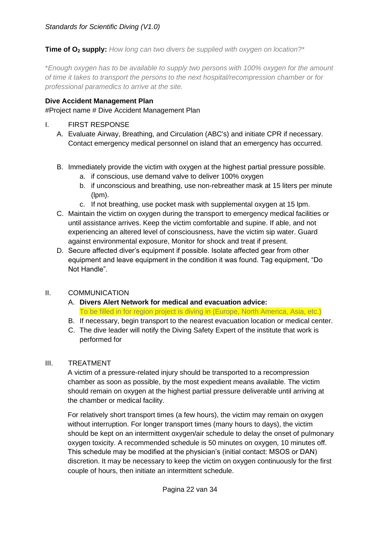**Time of O<sup>2</sup> supply:** *How long can two divers be supplied with oxygen on location?\**

\**Enough oxygen has to be available to supply two persons with 100% oxygen for the amount of time it takes to transport the persons to the next hospital/recompression chamber or for professional paramedics to arrive at the site.* 

#### **Dive Accident Management Plan**

#Project name # Dive Accident Management Plan

- I. FIRST RESPONSE
	- A. Evaluate Airway, Breathing, and Circulation (ABC's) and initiate CPR if necessary. Contact emergency medical personnel on island that an emergency has occurred.
	- B. Immediately provide the victim with oxygen at the highest partial pressure possible.
		- a. if conscious, use demand valve to deliver 100% oxygen b. if unconscious and breathing, use non-rebreather mask at 15 liters per minute
		- (lpm).
		- c. If not breathing, use pocket mask with supplemental oxygen at 15 lpm.
	- C. Maintain the victim on oxygen during the transport to emergency medical facilities or until assistance arrives. Keep the victim comfortable and supine. If able, and not experiencing an altered level of consciousness, have the victim sip water. Guard against environmental exposure, Monitor for shock and treat if present.
	- D. Secure affected diver's equipment if possible. Isolate affected gear from other equipment and leave equipment in the condition it was found. Tag equipment, "Do Not Handle".

#### II. COMMUNICATION

- A. **Divers Alert Network for medical and evacuation advice:** To be filled in for region project is diving in (Europe, North America, Asia, etc.)
- B. If necessary, begin transport to the nearest evacuation location or medical center.
- C. The dive leader will notify the Diving Safety Expert of the institute that work is performed for

#### III. TREATMENT

A victim of a pressure-related injury should be transported to a recompression chamber as soon as possible, by the most expedient means available. The victim should remain on oxygen at the highest partial pressure deliverable until arriving at the chamber or medical facility.

For relatively short transport times (a few hours), the victim may remain on oxygen without interruption. For longer transport times (many hours to days), the victim should be kept on an intermittent oxygen/air schedule to delay the onset of pulmonary oxygen toxicity. A recommended schedule is 50 minutes on oxygen, 10 minutes off. This schedule may be modified at the physician's (initial contact: MSOS or DAN) discretion. It may be necessary to keep the victim on oxygen continuously for the first couple of hours, then initiate an intermittent schedule.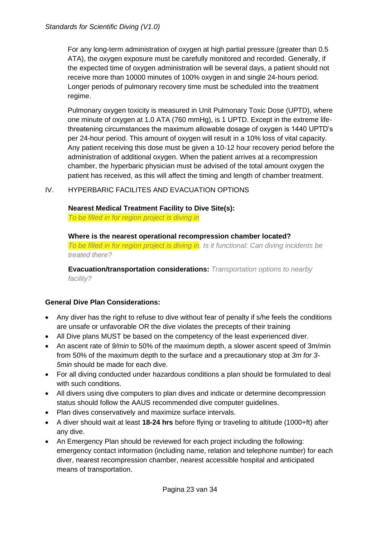For any long-term administration of oxygen at high partial pressure (greater than 0.5 ATA), the oxygen exposure must be carefully monitored and recorded. Generally, if the expected time of oxygen administration will be several days, a patient should not receive more than 10000 minutes of 100% oxygen in and single 24-hours period. Longer periods of pulmonary recovery time must be scheduled into the treatment regime.

Pulmonary oxygen toxicity is measured in Unit Pulmonary Toxic Dose (UPTD), where one minute of oxygen at 1.0 ATA (760 mmHg), is 1 UPTD. Except in the extreme lifethreatening circumstances the maximum allowable dosage of oxygen is 1440 UPTD's per 24-hour period. This amount of oxygen will result in a 10% loss of vital capacity. Any patient receiving this dose must be given a 10-12 hour recovery period before the administration of additional oxygen. When the patient arrives at a recompression chamber, the hyperbaric physician must be advised of the total amount oxygen the patient has received, as this will affect the timing and length of chamber treatment.

#### IV. HYPERBARIC FACILITES AND EVACUATION OPTIONS

#### **Nearest Medical Treatment Facility to Dive Site(s):**

*To be filled in for region project is diving in*

#### **Where is the nearest operational recompression chamber located?**

*To be filled in for region project is diving in. Is it functional: Can diving incidents be treated there?*

**Evacuation/transportation considerations:** *Transportation options to nearby facility?* 

#### **General Dive Plan Considerations:**

- Any diver has the right to refuse to dive without fear of penalty if s/he feels the conditions are unsafe or unfavorable OR the dive violates the precepts of their training
- All Dive plans MUST be based on the competency of the least experienced diver.
- An ascent rate of *9/min* to 50% of the maximum depth, a slower ascent speed of 3m/min from 50% of the maximum depth to the surface and a precautionary stop at *3m for 3- 5min* should be made for each dive.
- For all diving conducted under hazardous conditions a plan should be formulated to deal with such conditions.
- All divers using dive computers to plan dives and indicate or determine decompression status should follow the AAUS recommended dive computer guidelines.
- Plan dives conservatively and maximize surface intervals.
- A diver should wait at least **18-24 hrs** before flying or traveling to altitude (1000+ft) after any dive.
- An Emergency Plan should be reviewed for each project including the following: emergency contact information (including name, relation and telephone number) for each diver, nearest recompression chamber, nearest accessible hospital and anticipated means of transportation.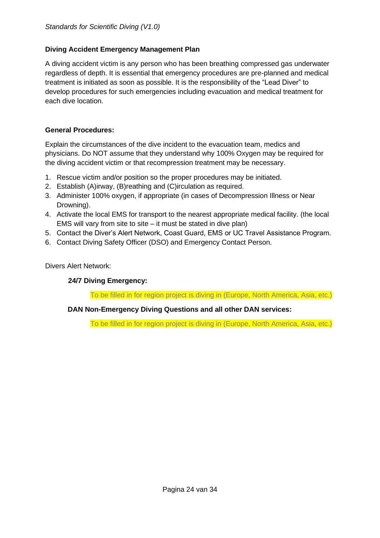#### **Diving Accident Emergency Management Plan**

A diving accident victim is any person who has been breathing compressed gas underwater regardless of depth. It is essential that emergency procedures are pre-planned and medical treatment is initiated as soon as possible. It is the responsibility of the "Lead Diver" to develop procedures for such emergencies including evacuation and medical treatment for each dive location.

#### **General Procedures:**

Explain the circumstances of the dive incident to the evacuation team, medics and physicians. Do NOT assume that they understand why 100% Oxygen may be required for the diving accident victim or that recompression treatment may be necessary.

- 1. Rescue victim and/or position so the proper procedures may be initiated.
- 2. Establish (A)irway, (B)reathing and (C)irculation as required.
- 3. Administer 100% oxygen, if appropriate (in cases of Decompression Illness or Near Drowning).
- 4. Activate the local EMS for transport to the nearest appropriate medical facility. (the local EMS will vary from site to site – it must be stated in dive plan)
- 5. Contact the Diver's Alert Network, Coast Guard, EMS or UC Travel Assistance Program.
- 6. Contact Diving Safety Officer (DSO) and Emergency Contact Person.

Divers Alert Network:

#### **24/7 Diving Emergency:**

To be filled in for region project is diving in (Europe, North America, Asia, etc.)

#### **DAN Non-Emergency Diving Questions and all other DAN services:**

To be filled in for region project is diving in (Europe, North America, Asia, etc.)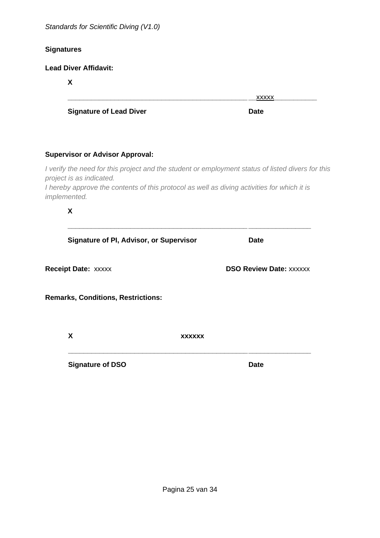#### **Signatures**

#### **Lead Diver Affidavit:**

**X** 

**\_\_\_\_\_\_\_\_\_\_\_\_\_\_\_\_\_\_\_\_\_\_\_\_\_\_\_\_\_\_\_\_\_\_\_\_\_\_\_\_\_\_\_\_\_\_ \_\_**xxxxx**\_\_\_\_\_\_\_\_\_\_\_**

#### **Signature of Lead Diver Date**

#### **Supervisor or Advisor Approval:**

*I verify the need for this project and the student or employment status of listed divers for this project is as indicated.* 

*I hereby approve the contents of this protocol as well as diving activities for which it is implemented.*

**X** 

| <b>Signature of PI, Advisor, or Supervisor</b> |               | <b>Date</b>                    |
|------------------------------------------------|---------------|--------------------------------|
| <b>Receipt Date: XXXXX</b>                     |               | <b>DSO Review Date: XXXXXX</b> |
| <b>Remarks, Conditions, Restrictions:</b>      |               |                                |
| X                                              | <b>XXXXXX</b> |                                |
| <b>Signature of DSO</b>                        |               | <b>Date</b>                    |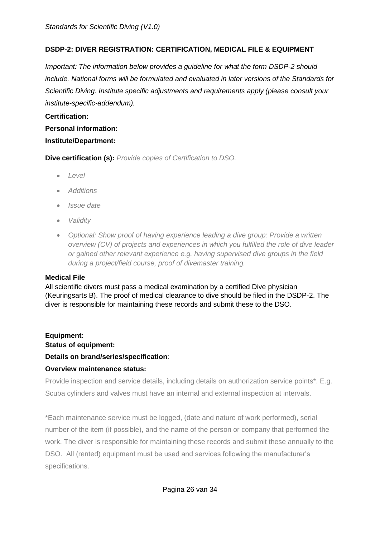#### <span id="page-25-0"></span>**DSDP-2: DIVER REGISTRATION: CERTIFICATION, MEDICAL FILE & EQUIPMENT**

*Important: The information below provides a guideline for what the form DSDP-2 should include. National forms will be formulated and evaluated in later versions of the Standards for Scientific Diving. Institute specific adjustments and requirements apply (please consult your institute-specific-addendum).* 

#### **Certification:**

**Personal information:** 

#### **Institute/Department:**

**Dive certification (s):** *Provide copies of Certification to DSO.* 

- *Level*
- *Additions*
- *Issue date*
- *Validity*
- *Optional: Show proof of having experience leading a dive group: Provide a written overview (CV) of projects and experiences in which you fulfilled the role of dive leader or gained other relevant experience e.g. having supervised dive groups in the field during a project/field course, proof of divemaster training.*

#### **Medical File**

All scientific divers must pass a medical examination by a certified Dive physician (Keuringsarts B). The proof of medical clearance to dive should be filed in the DSDP-2. The diver is responsible for maintaining these records and submit these to the DSO.

# **Equipment: Status of equipment: Details on brand/series/specification**: **Overview maintenance status:**

Provide inspection and service details, including details on authorization service points\*. E.g. Scuba cylinders and valves must have an internal and external inspection at intervals.

\*Each maintenance service must be logged, (date and nature of work performed), serial number of the item (if possible), and the name of the person or company that performed the work. The diver is responsible for maintaining these records and submit these annually to the DSO. All (rented) equipment must be used and services following the manufacturer's specifications.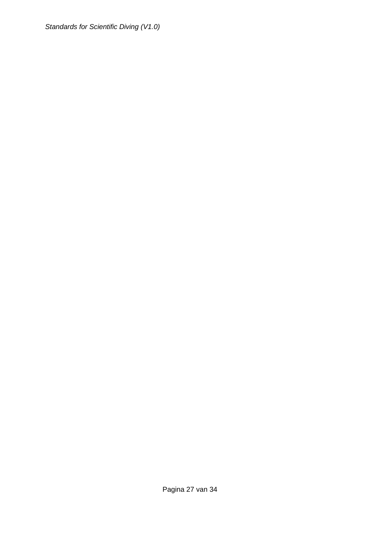*Standards for Scientific Diving (V1.0)*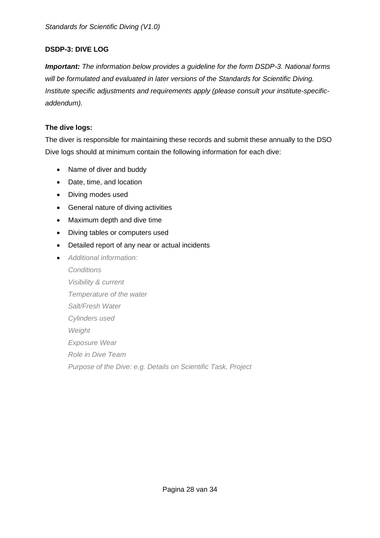## <span id="page-27-0"></span>**DSDP-3: DIVE LOG**

*Important: The information below provides a guideline for the form DSDP-3. National forms will be formulated and evaluated in later versions of the Standards for Scientific Diving. Institute specific adjustments and requirements apply (please consult your institute-specificaddendum).* 

## **The dive logs:**

The diver is responsible for maintaining these records and submit these annually to the DSO Dive logs should at minimum contain the following information for each dive:

- Name of diver and buddy
- Date, time, and location
- Diving modes used
- General nature of diving activities
- Maximum depth and dive time
- Diving tables or computers used
- Detailed report of any near or actual incidents
- *Additional information:*

*Conditions Visibility & current Temperature of the water Salt/Fresh Water Cylinders used Weight Exposure Wear Role in Dive Team Purpose of the Dive: e.g. Details on Scientific Task, Project*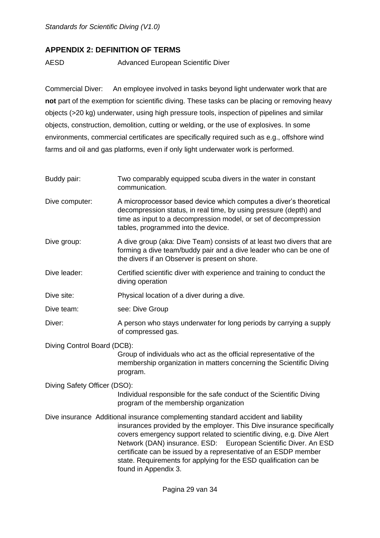# <span id="page-28-0"></span>**APPENDIX 2: DEFINITION OF TERMS**

AESD Advanced European Scientific Diver

Commercial Diver: An employee involved in tasks beyond light underwater work that are **not** part of the exemption for scientific diving. These tasks can be placing or removing heavy objects (>20 kg) underwater, using high pressure tools, inspection of pipelines and similar objects, construction, demolition, cutting or welding, or the use of explosives. In some environments, commercial certificates are specifically required such as e.g., offshore wind farms and oil and gas platforms, even if only light underwater work is performed.

| Buddy pair:                  | Two comparably equipped scuba divers in the water in constant<br>communication.                                                                                                                                                                                                                                                                                                                                                                                         |
|------------------------------|-------------------------------------------------------------------------------------------------------------------------------------------------------------------------------------------------------------------------------------------------------------------------------------------------------------------------------------------------------------------------------------------------------------------------------------------------------------------------|
| Dive computer:               | A microprocessor based device which computes a diver's theoretical<br>decompression status, in real time, by using pressure (depth) and<br>time as input to a decompression model, or set of decompression<br>tables, programmed into the device.                                                                                                                                                                                                                       |
| Dive group:                  | A dive group (aka: Dive Team) consists of at least two divers that are<br>forming a dive team/buddy pair and a dive leader who can be one of<br>the divers if an Observer is present on shore.                                                                                                                                                                                                                                                                          |
| Dive leader:                 | Certified scientific diver with experience and training to conduct the<br>diving operation                                                                                                                                                                                                                                                                                                                                                                              |
| Dive site:                   | Physical location of a diver during a dive.                                                                                                                                                                                                                                                                                                                                                                                                                             |
| Dive team:                   | see: Dive Group                                                                                                                                                                                                                                                                                                                                                                                                                                                         |
| Diver:                       | A person who stays underwater for long periods by carrying a supply<br>of compressed gas.                                                                                                                                                                                                                                                                                                                                                                               |
| Diving Control Board (DCB):  | Group of individuals who act as the official representative of the<br>membership organization in matters concerning the Scientific Diving<br>program.                                                                                                                                                                                                                                                                                                                   |
| Diving Safety Officer (DSO): | Individual responsible for the safe conduct of the Scientific Diving<br>program of the membership organization                                                                                                                                                                                                                                                                                                                                                          |
|                              | Dive insurance Additional insurance complementing standard accident and liability<br>insurances provided by the employer. This Dive insurance specifically<br>covers emergency support related to scientific diving, e.g. Dive Alert<br>Network (DAN) insurance. ESD: European Scientific Diver. An ESD<br>certificate can be issued by a representative of an ESDP member<br>state. Requirements for applying for the ESD qualification can be<br>found in Appendix 3. |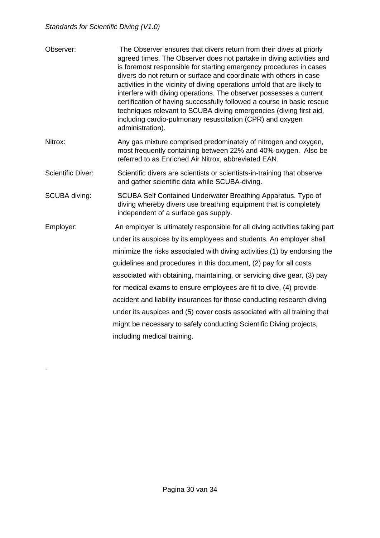.

| Observer:                | The Observer ensures that divers return from their dives at priorly<br>agreed times. The Observer does not partake in diving activities and<br>is foremost responsible for starting emergency procedures in cases<br>divers do not return or surface and coordinate with others in case<br>activities in the vicinity of diving operations unfold that are likely to<br>interfere with diving operations. The observer possesses a current<br>certification of having successfully followed a course in basic rescue<br>techniques relevant to SCUBA diving emergencies (diving first aid,<br>including cardio-pulmonary resuscitation (CPR) and oxygen<br>administration). |
|--------------------------|-----------------------------------------------------------------------------------------------------------------------------------------------------------------------------------------------------------------------------------------------------------------------------------------------------------------------------------------------------------------------------------------------------------------------------------------------------------------------------------------------------------------------------------------------------------------------------------------------------------------------------------------------------------------------------|
| Nitrox:                  | Any gas mixture comprised predominately of nitrogen and oxygen,<br>most frequently containing between 22% and 40% oxygen. Also be<br>referred to as Enriched Air Nitrox, abbreviated EAN.                                                                                                                                                                                                                                                                                                                                                                                                                                                                                   |
| <b>Scientific Diver:</b> | Scientific divers are scientists or scientists-in-training that observe<br>and gather scientific data while SCUBA-diving.                                                                                                                                                                                                                                                                                                                                                                                                                                                                                                                                                   |
| SCUBA diving:            | SCUBA Self Contained Underwater Breathing Apparatus. Type of<br>diving whereby divers use breathing equipment that is completely<br>independent of a surface gas supply.                                                                                                                                                                                                                                                                                                                                                                                                                                                                                                    |
| Employer:                | An employer is ultimately responsible for all diving activities taking part                                                                                                                                                                                                                                                                                                                                                                                                                                                                                                                                                                                                 |
|                          | under its auspices by its employees and students. An employer shall                                                                                                                                                                                                                                                                                                                                                                                                                                                                                                                                                                                                         |
|                          | minimize the risks associated with diving activities (1) by endorsing the                                                                                                                                                                                                                                                                                                                                                                                                                                                                                                                                                                                                   |
|                          | guidelines and procedures in this document, (2) pay for all costs                                                                                                                                                                                                                                                                                                                                                                                                                                                                                                                                                                                                           |
|                          | associated with obtaining, maintaining, or servicing dive gear, (3) pay                                                                                                                                                                                                                                                                                                                                                                                                                                                                                                                                                                                                     |
|                          | for medical exams to ensure employees are fit to dive, (4) provide                                                                                                                                                                                                                                                                                                                                                                                                                                                                                                                                                                                                          |
|                          | accident and liability insurances for those conducting research diving                                                                                                                                                                                                                                                                                                                                                                                                                                                                                                                                                                                                      |
|                          | under its auspices and (5) cover costs associated with all training that                                                                                                                                                                                                                                                                                                                                                                                                                                                                                                                                                                                                    |
|                          | might be necessary to safely conducting Scientific Diving projects,                                                                                                                                                                                                                                                                                                                                                                                                                                                                                                                                                                                                         |
|                          | including medical training.                                                                                                                                                                                                                                                                                                                                                                                                                                                                                                                                                                                                                                                 |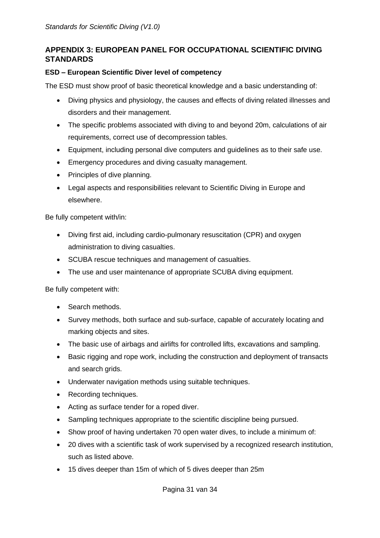# <span id="page-30-0"></span>**APPENDIX 3: EUROPEAN PANEL FOR OCCUPATIONAL SCIENTIFIC DIVING STANDARDS**

#### **ESD – European Scientific Diver level of competency**

The ESD must show proof of basic theoretical knowledge and a basic understanding of:

- Diving physics and physiology, the causes and effects of diving related illnesses and disorders and their management.
- The specific problems associated with diving to and beyond 20m, calculations of air requirements, correct use of decompression tables.
- Equipment, including personal dive computers and guidelines as to their safe use.
- Emergency procedures and diving casualty management.
- Principles of dive planning.
- Legal aspects and responsibilities relevant to Scientific Diving in Europe and elsewhere.

Be fully competent with/in:

- Diving first aid, including cardio-pulmonary resuscitation (CPR) and oxygen administration to diving casualties.
- SCUBA rescue techniques and management of casualties.
- The use and user maintenance of appropriate SCUBA diving equipment.

Be fully competent with:

- Search methods.
- Survey methods, both surface and sub-surface, capable of accurately locating and marking objects and sites.
- The basic use of airbags and airlifts for controlled lifts, excavations and sampling.
- Basic rigging and rope work, including the construction and deployment of transacts and search grids.
- Underwater navigation methods using suitable techniques.
- Recording techniques.
- Acting as surface tender for a roped diver.
- Sampling techniques appropriate to the scientific discipline being pursued.
- Show proof of having undertaken 70 open water dives, to include a minimum of:
- 20 dives with a scientific task of work supervised by a recognized research institution, such as listed above.
- 15 dives deeper than 15m of which of 5 dives deeper than 25m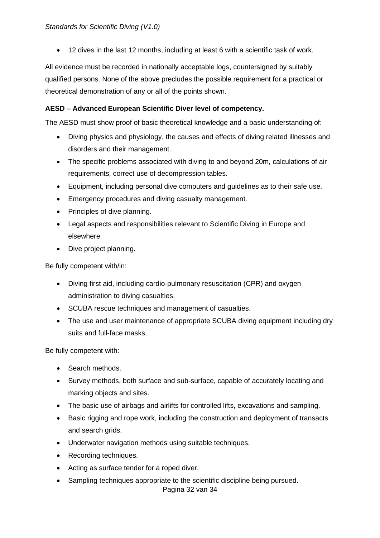• 12 dives in the last 12 months, including at least 6 with a scientific task of work.

All evidence must be recorded in nationally acceptable logs, countersigned by suitably qualified persons. None of the above precludes the possible requirement for a practical or theoretical demonstration of any or all of the points shown.

#### **AESD – Advanced European Scientific Diver level of competency.**

The AESD must show proof of basic theoretical knowledge and a basic understanding of:

- Diving physics and physiology, the causes and effects of diving related illnesses and disorders and their management.
- The specific problems associated with diving to and beyond 20m, calculations of air requirements, correct use of decompression tables.
- Equipment, including personal dive computers and guidelines as to their safe use.
- Emergency procedures and diving casualty management.
- Principles of dive planning.
- Legal aspects and responsibilities relevant to Scientific Diving in Europe and elsewhere.
- Dive project planning.

Be fully competent with/in:

- Diving first aid, including cardio-pulmonary resuscitation (CPR) and oxygen administration to diving casualties.
- SCUBA rescue techniques and management of casualties.
- The use and user maintenance of appropriate SCUBA diving equipment including dry suits and full-face masks.

Be fully competent with:

- Search methods.
- Survey methods, both surface and sub-surface, capable of accurately locating and marking objects and sites.
- The basic use of airbags and airlifts for controlled lifts, excavations and sampling.
- Basic rigging and rope work, including the construction and deployment of transacts and search grids.
- Underwater navigation methods using suitable techniques.
- Recording techniques.
- Acting as surface tender for a roped diver.
- Pagina 32 van 34 • Sampling techniques appropriate to the scientific discipline being pursued.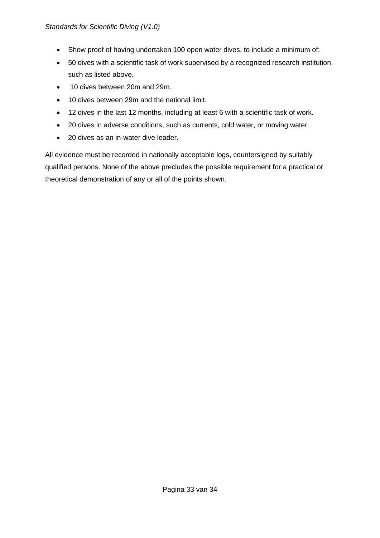- Show proof of having undertaken 100 open water dives, to include a minimum of:
- 50 dives with a scientific task of work supervised by a recognized research institution, such as listed above.
- 10 dives between 20m and 29m.
- 10 dives between 29m and the national limit.
- 12 dives in the last 12 months, including at least 6 with a scientific task of work.
- 20 dives in adverse conditions, such as currents, cold water, or moving water.
- 20 dives as an in-water dive leader.

All evidence must be recorded in nationally acceptable logs, countersigned by suitably qualified persons. None of the above precludes the possible requirement for a practical or theoretical demonstration of any or all of the points shown.